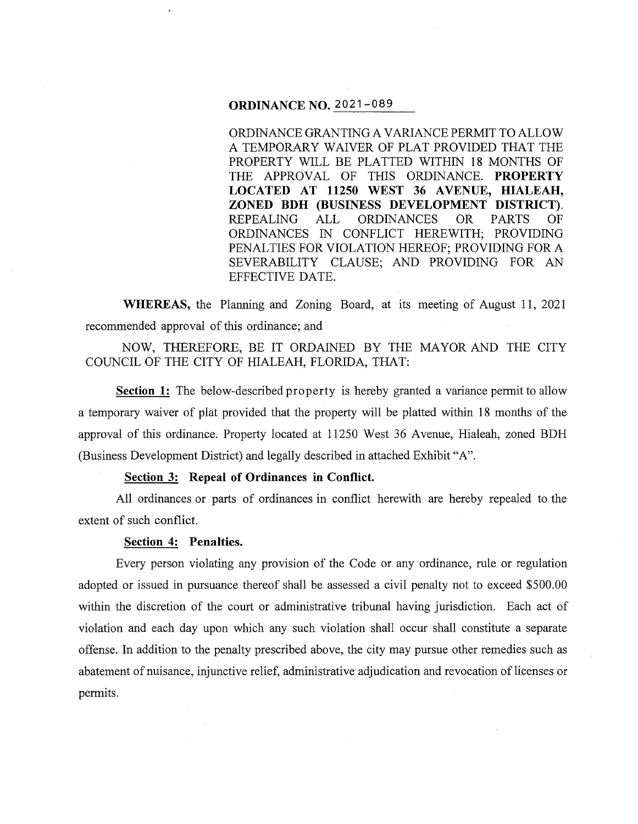## **ORDINANCE NO.** 2021-089

ORDINANCE GRANTING A VARIANCE PERMIT TO ALLOW A TEMPORARY WAIVER OF PLAT PROVIDED THAT THE PROPERTY WILL BE PLATTED WITHIN 18 MONTHS OF THE APPROVAL OF THIS ORDINANCE. **PROPERTY**  LOCATED AT 11250 WEST 36 AVENUE, HIALEAH, **ZONED BDH (BUSINESS DEVELOPMENT DISTRICT).**  REPEALING ALL ORDINANCES OR PARTS OF ORDINANCES IN CONFLICT HEREWITH; PROVIDING PENALTIES FOR VIOLATION HEREOF; PROVIDING FORA SEVERABILITY CLAUSE; AND PROVIDING FOR AN EFFECTIVE DATE.

**WHEREAS,** the Planning and Zoning Board, at its meeting of August 11, 2021 recommended approval of this ordinance; and

NOW, THEREFORE, BE IT ORDAINED BY THE MAYOR AND THE CITY COUNCIL OF THE CITY OF HIALEAH, FLORIDA, THAT:

**Section 1:** The below-described property is hereby granted a variance permit to allow a temporary waiver of plat provided that the property will be platted within 18 months of the approval of this ordinance. Property located at 11250 West 36 Avenue, Hialeah, zoned BDH (Business Development District) and legally described in attached Exhibit "A".

### **Section 3: Repeal of Ordinances in Conflict.**

All ordinances or parts of ordinances in conflict herewith are hereby repealed to the extent of such conflict.

### **Section 4: Penalties.**

Every person violating any provision of the Code or any ordinance, rule or regulation adopted or issued in pursuance thereof shall be assessed a civil penalty not to exceed \$500.00 within the discretion of the court or administrative tribunal having jurisdiction. Each act of violation and each day upon which any such violation shall occur shall constitute a separate offense. In addition to the penalty prescribed above, the city may pursue other remedies such as abatement of nuisance, injunctive relief, administrative adjudication and revocation of licenses or permits.